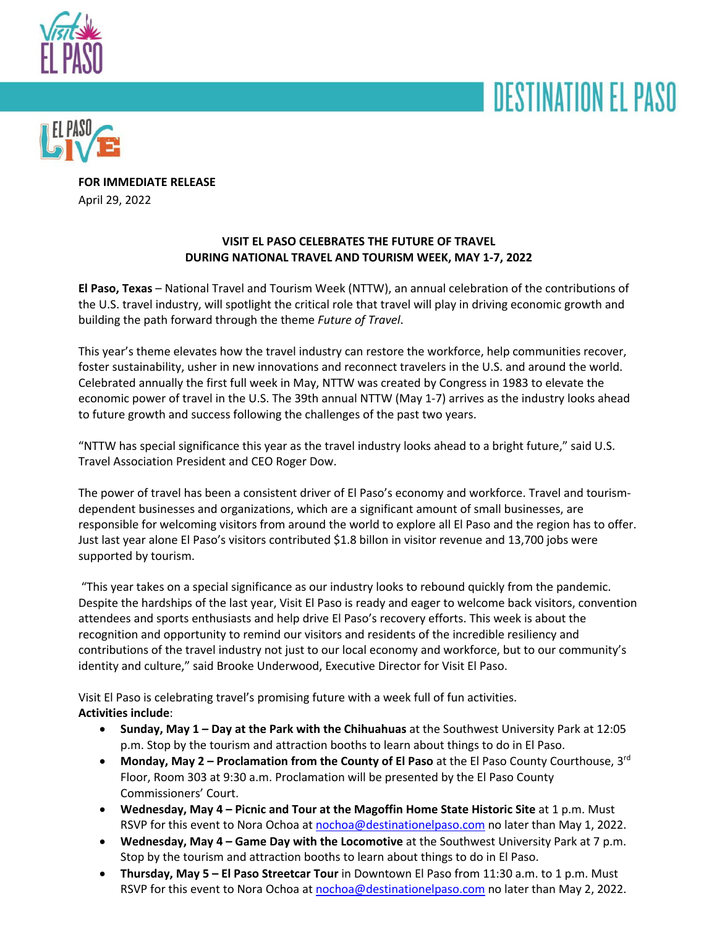





**FOR IMMEDIATE RELEASE** April 29, 2022

# **VISIT EL PASO CELEBRATES THE FUTURE OF TRAVEL DURING NATIONAL TRAVEL AND TOURISM WEEK, MAY 1-7, 2022**

**El Paso, Texas** – National Travel and Tourism Week (NTTW), an annual celebration of the contributions of the U.S. travel industry, will spotlight the critical role that travel will play in driving economic growth and building the path forward through the theme *Future of Travel*.

This year's theme elevates how the travel industry can restore the workforce, help communities recover, foster sustainability, usher in new innovations and reconnect travelers in the U.S. and around the world. Celebrated annually the first full week in May, NTTW was created by Congress in 1983 to elevate the economic power of travel in the U.S. The 39th annual NTTW (May 1-7) arrives as the industry looks ahead to future growth and success following the challenges of the past two years.

"NTTW has special significance this year as the travel industry looks ahead to a bright future," said U.S. Travel Association President and CEO Roger Dow.

The power of travel has been a consistent driver of El Paso's economy and workforce. Travel and tourismdependent businesses and organizations, which are a significant amount of small businesses, are responsible for welcoming visitors from around the world to explore all El Paso and the region has to offer. Just last year alone El Paso's visitors contributed \$1.8 billon in visitor revenue and 13,700 jobs were supported by tourism.

"This year takes on a special significance as our industry looks to rebound quickly from the pandemic. Despite the hardships of the last year, Visit El Paso is ready and eager to welcome back visitors, convention attendees and sports enthusiasts and help drive El Paso's recovery efforts. This week is about the recognition and opportunity to remind our visitors and residents of the incredible resiliency and contributions of the travel industry not just to our local economy and workforce, but to our community's identity and culture," said Brooke Underwood, Executive Director for Visit El Paso.

Visit El Paso is celebrating travel's promising future with a week full of fun activities. **Activities include**:

- **Sunday, May 1 – Day at the Park with the Chihuahuas** at the Southwest University Park at 12:05 p.m. Stop by the tourism and attraction booths to learn about things to do in El Paso.
- **Monday, May 2 – Proclamation from the County of El Paso** at the El Paso County Courthouse, 3rd Floor, Room 303 at 9:30 a.m. Proclamation will be presented by the El Paso County Commissioners' Court.
- **Wednesday, May 4 – Picnic and Tour at the Magoffin Home State Historic Site** at 1 p.m. Must RSVP for this event to Nora Ochoa at nochoa@destinationelpaso.com no later than May 1, 2022.
- **Wednesday, May 4 – Game Day with the Locomotive** at the Southwest University Park at 7 p.m. Stop by the tourism and attraction booths to learn about things to do in El Paso.
- **Thursday, May 5 – El Paso Streetcar Tour** in Downtown El Paso from 11:30 a.m. to 1 p.m. Must RSVP for this event to Nora Ochoa at nochoa@destinationelpaso.com no later than May 2, 2022.